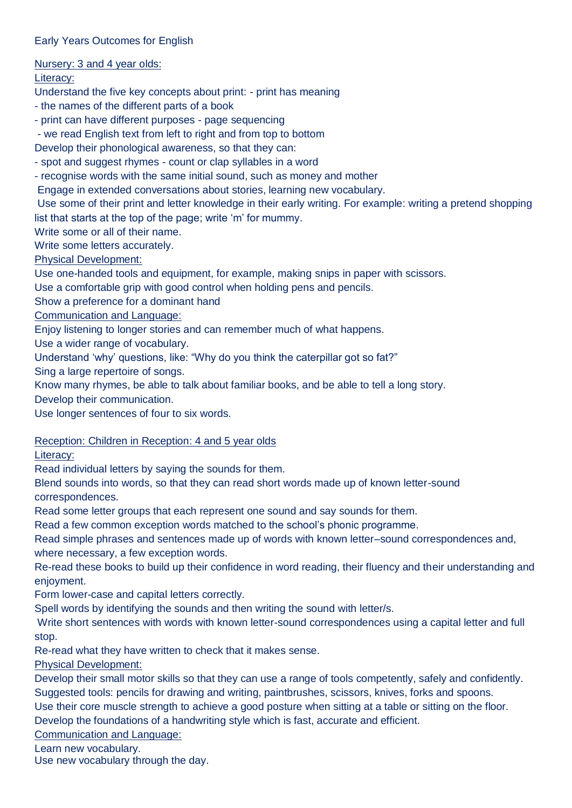## Early Years Outcomes for English

Nursery: 3 and 4 year olds:

Literacy:

Understand the five key concepts about print: - print has meaning

- the names of the different parts of a book

- print can have different purposes - page sequencing

- we read English text from left to right and from top to bottom

Develop their phonological awareness, so that they can:

- spot and suggest rhymes - count or clap syllables in a word

- recognise words with the same initial sound, such as money and mother

Engage in extended conversations about stories, learning new vocabulary.

Use some of their print and letter knowledge in their early writing. For example: writing a pretend shopping list that starts at the top of the page; write 'm' for mummy.

Write some or all of their name.

Write some letters accurately.

Physical Development:

Use one-handed tools and equipment, for example, making snips in paper with scissors.

Use a comfortable grip with good control when holding pens and pencils.

Show a preference for a dominant hand

Communication and Language:

Enjoy listening to longer stories and can remember much of what happens.

Use a wider range of vocabulary.

Understand 'why' questions, like: "Why do you think the caterpillar got so fat?"

Sing a large repertoire of songs.

Know many rhymes, be able to talk about familiar books, and be able to tell a long story.

Develop their communication.

Use longer sentences of four to six words.

Reception: Children in Reception: 4 and 5 year olds

Literacy:

Read individual letters by saying the sounds for them.

Blend sounds into words, so that they can read short words made up of known letter-sound correspondences.

Read some letter groups that each represent one sound and say sounds for them.

Read a few common exception words matched to the school's phonic programme.

Read simple phrases and sentences made up of words with known letter–sound correspondences and, where necessary, a few exception words.

Re-read these books to build up their confidence in word reading, their fluency and their understanding and enjoyment.

Form lower-case and capital letters correctly.

Spell words by identifying the sounds and then writing the sound with letter/s.

Write short sentences with words with known letter-sound correspondences using a capital letter and full stop.

Re-read what they have written to check that it makes sense.

Physical Development:

Develop their small motor skills so that they can use a range of tools competently, safely and confidently. Suggested tools: pencils for drawing and writing, paintbrushes, scissors, knives, forks and spoons. Use their core muscle strength to achieve a good posture when sitting at a table or sitting on the floor.

Develop the foundations of a handwriting style which is fast, accurate and efficient.

Communication and Language:

Learn new vocabulary.

Use new vocabulary through the day.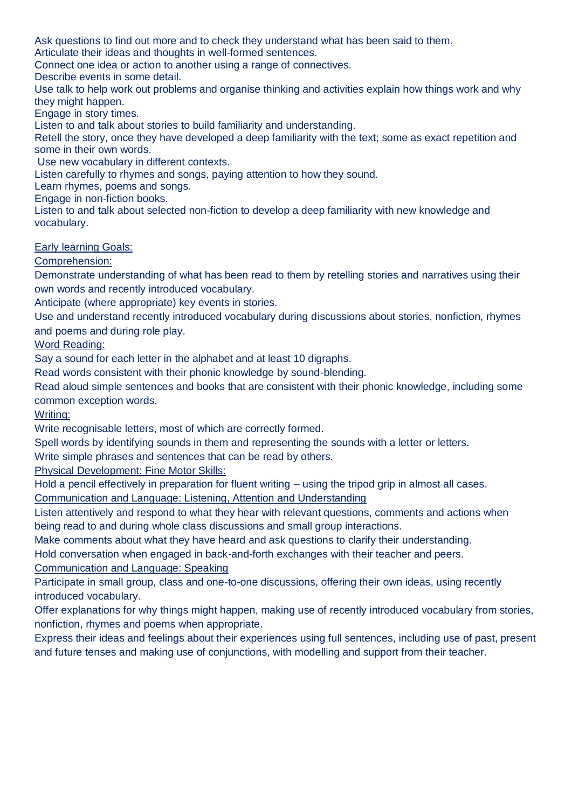Ask questions to find out more and to check they understand what has been said to them.

Articulate their ideas and thoughts in well-formed sentences.

Connect one idea or action to another using a range of connectives.

Describe events in some detail.

Use talk to help work out problems and organise thinking and activities explain how things work and why they might happen.

Engage in story times.

Listen to and talk about stories to build familiarity and understanding.

Retell the story, once they have developed a deep familiarity with the text; some as exact repetition and some in their own words.

Use new vocabulary in different contexts.

Listen carefully to rhymes and songs, paying attention to how they sound.

Learn rhymes, poems and songs.

Engage in non-fiction books.

Listen to and talk about selected non-fiction to develop a deep familiarity with new knowledge and vocabulary.

Early learning Goals:

Comprehension:

Demonstrate understanding of what has been read to them by retelling stories and narratives using their own words and recently introduced vocabulary.

Anticipate (where appropriate) key events in stories.

Use and understand recently introduced vocabulary during discussions about stories, nonfiction, rhymes and poems and during role play.

Word Reading:

Say a sound for each letter in the alphabet and at least 10 digraphs.

Read words consistent with their phonic knowledge by sound-blending.

Read aloud simple sentences and books that are consistent with their phonic knowledge, including some common exception words.

Writing:

Write recognisable letters, most of which are correctly formed.

Spell words by identifying sounds in them and representing the sounds with a letter or letters.

Write simple phrases and sentences that can be read by others.

Physical Development: Fine Motor Skills:

Hold a pencil effectively in preparation for fluent writing – using the tripod grip in almost all cases. Communication and Language: Listening, Attention and Understanding

Listen attentively and respond to what they hear with relevant questions, comments and actions when being read to and during whole class discussions and small group interactions.

Make comments about what they have heard and ask questions to clarify their understanding.

Hold conversation when engaged in back-and-forth exchanges with their teacher and peers.

Communication and Language: Speaking

Participate in small group, class and one-to-one discussions, offering their own ideas, using recently introduced vocabulary.

Offer explanations for why things might happen, making use of recently introduced vocabulary from stories, nonfiction, rhymes and poems when appropriate.

Express their ideas and feelings about their experiences using full sentences, including use of past, present and future tenses and making use of conjunctions, with modelling and support from their teacher.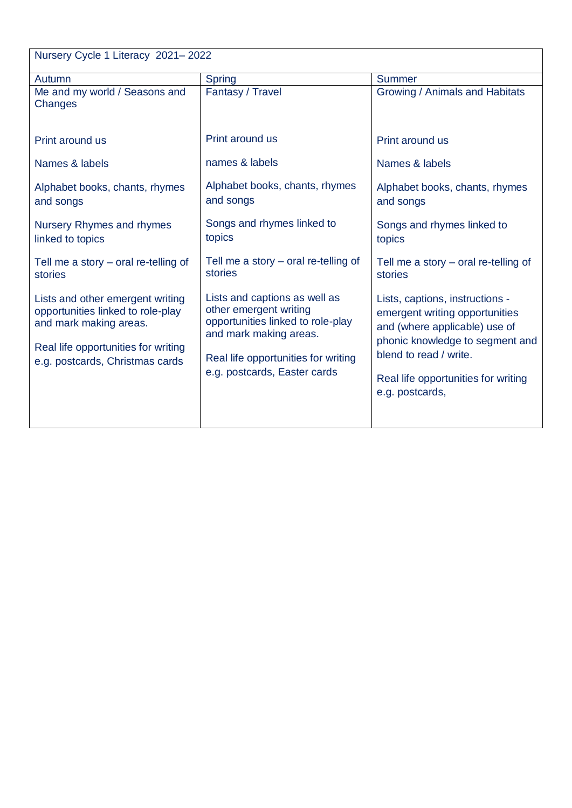| Nursery Cycle 1 Literacy 2021-2022                                                                                                                                        |                                                                                                                                                                                               |                                                                                                                                                                                                                           |  |
|---------------------------------------------------------------------------------------------------------------------------------------------------------------------------|-----------------------------------------------------------------------------------------------------------------------------------------------------------------------------------------------|---------------------------------------------------------------------------------------------------------------------------------------------------------------------------------------------------------------------------|--|
| Autumn                                                                                                                                                                    | <b>Spring</b>                                                                                                                                                                                 | <b>Summer</b>                                                                                                                                                                                                             |  |
| Me and my world / Seasons and<br>Changes                                                                                                                                  | Fantasy / Travel                                                                                                                                                                              | Growing / Animals and Habitats                                                                                                                                                                                            |  |
| Print around us                                                                                                                                                           | Print around us                                                                                                                                                                               | Print around us                                                                                                                                                                                                           |  |
| Names & labels                                                                                                                                                            | names & labels                                                                                                                                                                                | Names & labels                                                                                                                                                                                                            |  |
| Alphabet books, chants, rhymes<br>and songs                                                                                                                               | Alphabet books, chants, rhymes<br>and songs                                                                                                                                                   | Alphabet books, chants, rhymes<br>and songs                                                                                                                                                                               |  |
| <b>Nursery Rhymes and rhymes</b><br>linked to topics                                                                                                                      | Songs and rhymes linked to<br>topics                                                                                                                                                          | Songs and rhymes linked to<br>topics                                                                                                                                                                                      |  |
| Tell me a story - oral re-telling of<br>stories                                                                                                                           | Tell me a story $-$ oral re-telling of<br>stories                                                                                                                                             | Tell me a story $-$ oral re-telling of<br>stories                                                                                                                                                                         |  |
| Lists and other emergent writing<br>opportunities linked to role-play<br>and mark making areas.<br>Real life opportunities for writing<br>e.g. postcards, Christmas cards | Lists and captions as well as<br>other emergent writing<br>opportunities linked to role-play<br>and mark making areas.<br>Real life opportunities for writing<br>e.g. postcards, Easter cards | Lists, captions, instructions -<br>emergent writing opportunities<br>and (where applicable) use of<br>phonic knowledge to segment and<br>blend to read / write.<br>Real life opportunities for writing<br>e.g. postcards, |  |